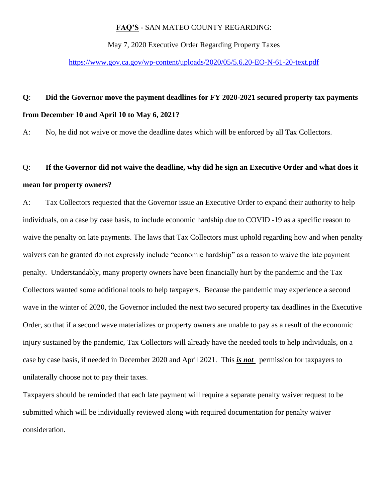### **FAQ'S** - SAN MATEO COUNTY REGARDING:

### May 7, 2020 Executive Order Regarding Property Taxes

### <https://www.gov.ca.gov/wp-content/uploads/2020/05/5.6.20-EO-N-61-20-text.pdf>

## **Q**: **Did the Governor move the payment deadlines for FY 2020-2021 secured property tax payments from December 10 and April 10 to May 6, 2021?**

A: No, he did not waive or move the deadline dates which will be enforced by all Tax Collectors.

# Q: **If the Governor did not waive the deadline, why did he sign an Executive Order and what does it mean for property owners?**

A: Tax Collectors requested that the Governor issue an Executive Order to expand their authority to help individuals, on a case by case basis, to include economic hardship due to COVID -19 as a specific reason to waive the penalty on late payments. The laws that Tax Collectors must uphold regarding how and when penalty waivers can be granted do not expressly include "economic hardship" as a reason to waive the late payment penalty. Understandably, many property owners have been financially hurt by the pandemic and the Tax Collectors wanted some additional tools to help taxpayers. Because the pandemic may experience a second wave in the winter of 2020, the Governor included the next two secured property tax deadlines in the Executive Order, so that if a second wave materializes or property owners are unable to pay as a result of the economic injury sustained by the pandemic, Tax Collectors will already have the needed tools to help individuals, on a case by case basis, if needed in December 2020 and April 2021. This *is not* permission for taxpayers to unilaterally choose not to pay their taxes.

Taxpayers should be reminded that each late payment will require a separate penalty waiver request to be submitted which will be individually reviewed along with required documentation for penalty waiver consideration.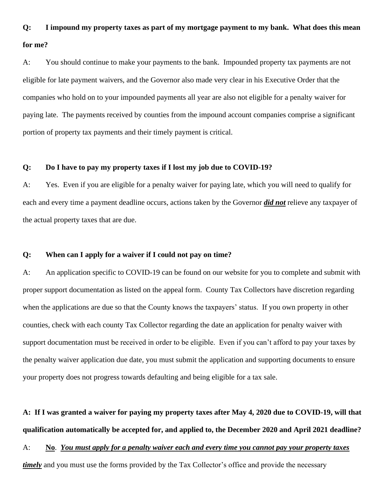# **Q: I impound my property taxes as part of my mortgage payment to my bank. What does this mean for me?**

A: You should continue to make your payments to the bank. Impounded property tax payments are not eligible for late payment waivers, and the Governor also made very clear in his Executive Order that the companies who hold on to your impounded payments all year are also not eligible for a penalty waiver for paying late. The payments received by counties from the impound account companies comprise a significant portion of property tax payments and their timely payment is critical.

## **Q: Do I have to pay my property taxes if I lost my job due to COVID-19?**

A: Yes. Even if you are eligible for a penalty waiver for paying late, which you will need to qualify for each and every time a payment deadline occurs, actions taken by the Governor *did not* relieve any taxpayer of the actual property taxes that are due.

### **Q: When can I apply for a waiver if I could not pay on time?**

A: An application specific to COVID-19 can be found on our website for you to complete and submit with proper support documentation as listed on the appeal form. County Tax Collectors have discretion regarding when the applications are due so that the County knows the taxpayers' status. If you own property in other counties, check with each county Tax Collector regarding the date an application for penalty waiver with support documentation must be received in order to be eligible. Even if you can't afford to pay your taxes by the penalty waiver application due date, you must submit the application and supporting documents to ensure your property does not progress towards defaulting and being eligible for a tax sale.

**A: If I was granted a waiver for paying my property taxes after May 4, 2020 due to COVID-19, will that qualification automatically be accepted for, and applied to, the December 2020 and April 2021 deadline?**

A: **No**. *You must apply for a penalty waiver each and every time you cannot pay your property taxes* 

*timely* and you must use the forms provided by the Tax Collector's office and provide the necessary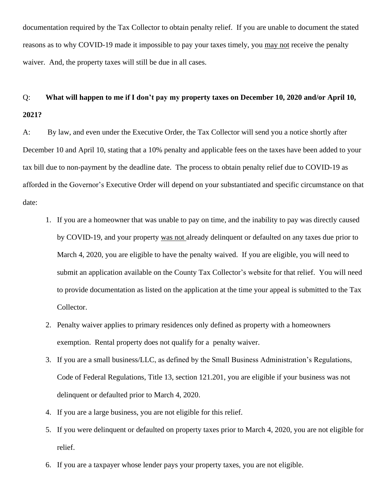documentation required by the Tax Collector to obtain penalty relief. If you are unable to document the stated reasons as to why COVID-19 made it impossible to pay your taxes timely, you may not receive the penalty waiver. And, the property taxes will still be due in all cases.

## Q: **What will happen to me if I don't pay my property taxes on December 10, 2020 and/or April 10, 2021?**

A: By law, and even under the Executive Order, the Tax Collector will send you a notice shortly after December 10 and April 10, stating that a 10% penalty and applicable fees on the taxes have been added to your tax bill due to non-payment by the deadline date. The process to obtain penalty relief due to COVID-19 as afforded in the Governor's Executive Order will depend on your substantiated and specific circumstance on that date:

- 1. If you are a homeowner that was unable to pay on time, and the inability to pay was directly caused by COVID-19, and your property was not already delinquent or defaulted on any taxes due prior to March 4, 2020, you are eligible to have the penalty waived. If you are eligible, you will need to submit an application available on the County Tax Collector's website for that relief. You will need to provide documentation as listed on the application at the time your appeal is submitted to the Tax Collector.
- 2. Penalty waiver applies to primary residences only defined as property with a homeowners exemption. Rental property does not qualify for a penalty waiver.
- 3. If you are a small business/LLC, as defined by the Small Business Administration's Regulations, Code of Federal Regulations, Title 13, section 121.201, you are eligible if your business was not delinquent or defaulted prior to March 4, 2020.
- 4. If you are a large business, you are not eligible for this relief.
- 5. If you were delinquent or defaulted on property taxes prior to March 4, 2020, you are not eligible for relief.
- 6. If you are a taxpayer whose lender pays your property taxes, you are not eligible.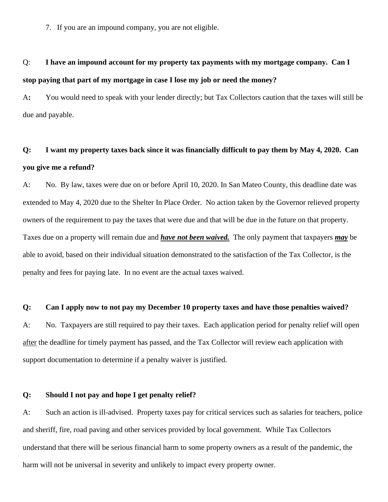7. If you are an impound company, you are not eligible.

# Q: **I have an impound account for my property tax payments with my mortgage company. Can I stop paying that part of my mortgage in case I lose my job or need the money?**

A**:** You would need to speak with your lender directly; but Tax Collectors caution that the taxes will still be due and payable.

# **Q: I want my property taxes back since it was financially difficult to pay them by May 4, 2020. Can you give me a refund?**

A: No. By law, taxes were due on or before April 10, 2020. In San Mateo County, this deadline date was extended to May 4, 2020 due to the Shelter In Place Order. No action taken by the Governor relieved property owners of the requirement to pay the taxes that were due and that will be due in the future on that property. Taxes due on a property will remain due and *have not been waived.* The only payment that taxpayers *may* be able to avoid, based on their individual situation demonstrated to the satisfaction of the Tax Collector, is the penalty and fees for paying late. In no event are the actual taxes waived.

#### **Q: Can I apply now to not pay my December 10 property taxes and have those penalties waived?**

A: No. Taxpayers are still required to pay their taxes. Each application period for penalty relief will open after the deadline for timely payment has passed, and the Tax Collector will review each application with support documentation to determine if a penalty waiver is justified.

### **Q: Should I not pay and hope I get penalty relief?**

A: Such an action is ill-advised. Property taxes pay for critical services such as salaries for teachers, police and sheriff, fire, road paving and other services provided by local government. While Tax Collectors understand that there will be serious financial harm to some property owners as a result of the pandemic, the harm will not be universal in severity and unlikely to impact every property owner.